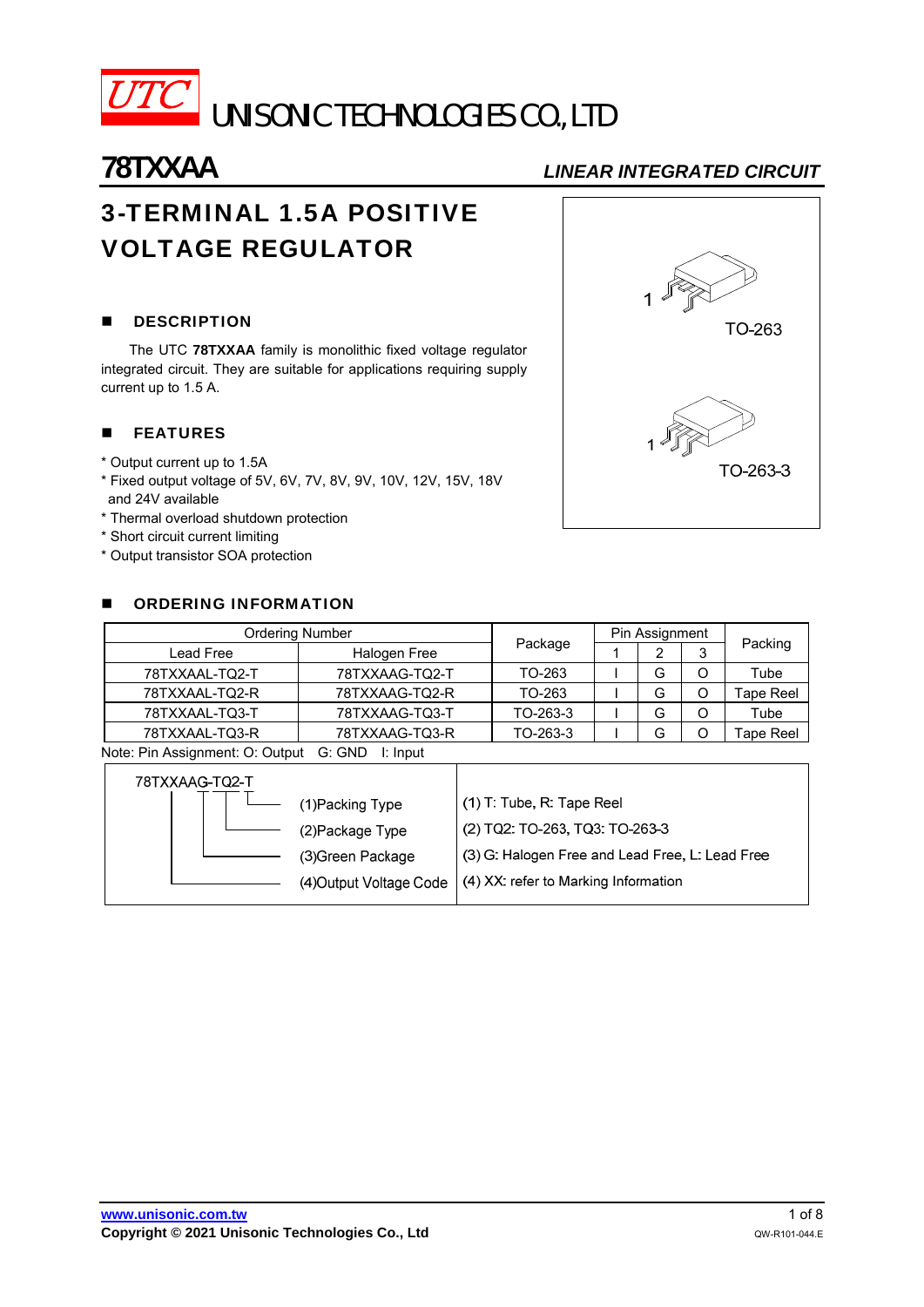

# **78TXXAA** *LINEAR INTEGRATED CIRCUIT*

# 3-TERMINAL 1.5A POSITIVE VOLTAGE REGULATOR

# **DESCRIPTION**

The UTC **78TXXAA** family is monolithic fixed voltage regulator integrated circuit. They are suitable for applications requiring supply current up to 1.5 A.

# **FEATURES**

- \* Output current up to 1.5A
- \* Fixed output voltage of 5V, 6V, 7V, 8V, 9V, 10V, 12V, 15V, 18V and 24V available
- \* Thermal overload shutdown protection
- \* Short circuit current limiting
- \* Output transistor SOA protection

## **DE ORDERING INFORMATION**

| <b>Ordering Number</b> | Package        | Pin Assignment |   |        |           |
|------------------------|----------------|----------------|---|--------|-----------|
| Lead Free              | Halogen Free   |                | ົ | ົ<br>ື | Packing   |
| 78TXXAAL-TQ2-T         | 78TXXAAG-TQ2-T | TO-263         | G |        | Tube      |
| 78TXXAAL-TQ2-R         | 78TXXAAG-TQ2-R | TO-263         | G |        | Tape Reel |
| 78TXXAAL-TQ3-T         | 78TXXAAG-TQ3-T | TO-263-3       | G |        | Tube      |
| 78TXXAAL-TQ3-R         | 78TXXAAG-TQ3-R | TO-263-3       |   |        | Tape Reel |

Note: Pin Assignment: O: Output G: GND I: Input

| 78TXXAAG-TQ2-T |                        |                                                 |
|----------------|------------------------|-------------------------------------------------|
|                | 1)Packing Type         | $(1)$ T: Tube, R: Tape Reel                     |
|                | (2) Package Type       | (2) TQ2: TO-263, TQ3: TO-263-3                  |
|                | (3) Green Package      | (3) G: Halogen Free and Lead Free, L: Lead Free |
|                | (4)Output Voltage Code | (4) XX: refer to Marking Information            |
|                |                        |                                                 |

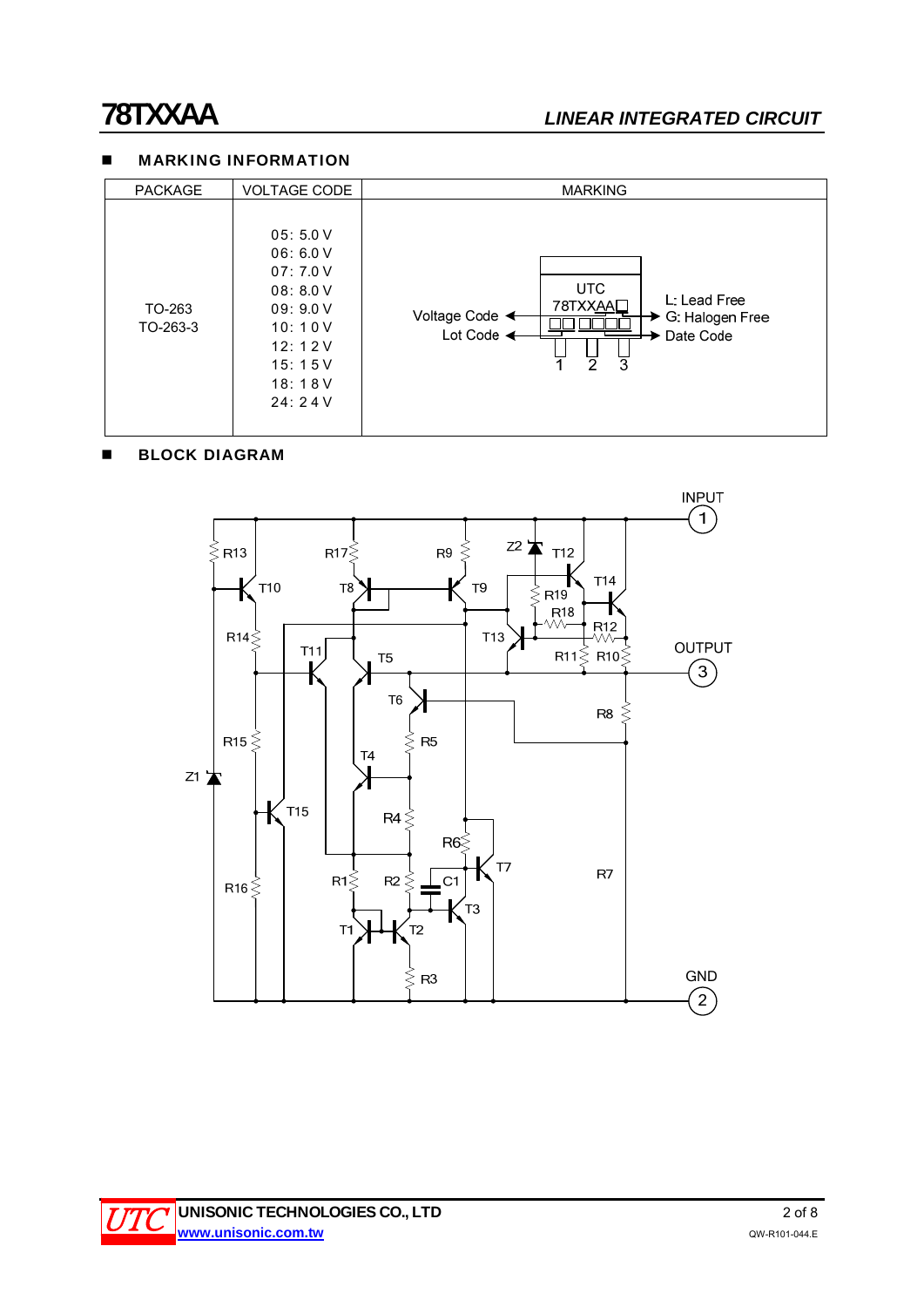# **78TXXAA** *LINEAR INTEGRATED CIRCUIT*

### **MARKING INFORMATION**

| <b>PACKAGE</b>     | <b>VOLTAGE CODE</b>                                                                                     | <b>MARKING</b>                                                                                                                               |
|--------------------|---------------------------------------------------------------------------------------------------------|----------------------------------------------------------------------------------------------------------------------------------------------|
| TO-263<br>TO-263-3 | 05:5.0V<br>06:6.0V<br>07:7.0V<br>08: 8.0 V<br>09:9.0V<br>10:10V<br>12:12V<br>15:15V<br>18:18V<br>24:24V | <b>UTC</b><br>L: Lead Free<br>78TXXAAL<br>Voltage Code <←<br>G: Halogen Free<br>Lot Code $\triangleleft$<br>Date Code<br>ァ<br>$\overline{3}$ |

## **BLOCK DIAGRAM**

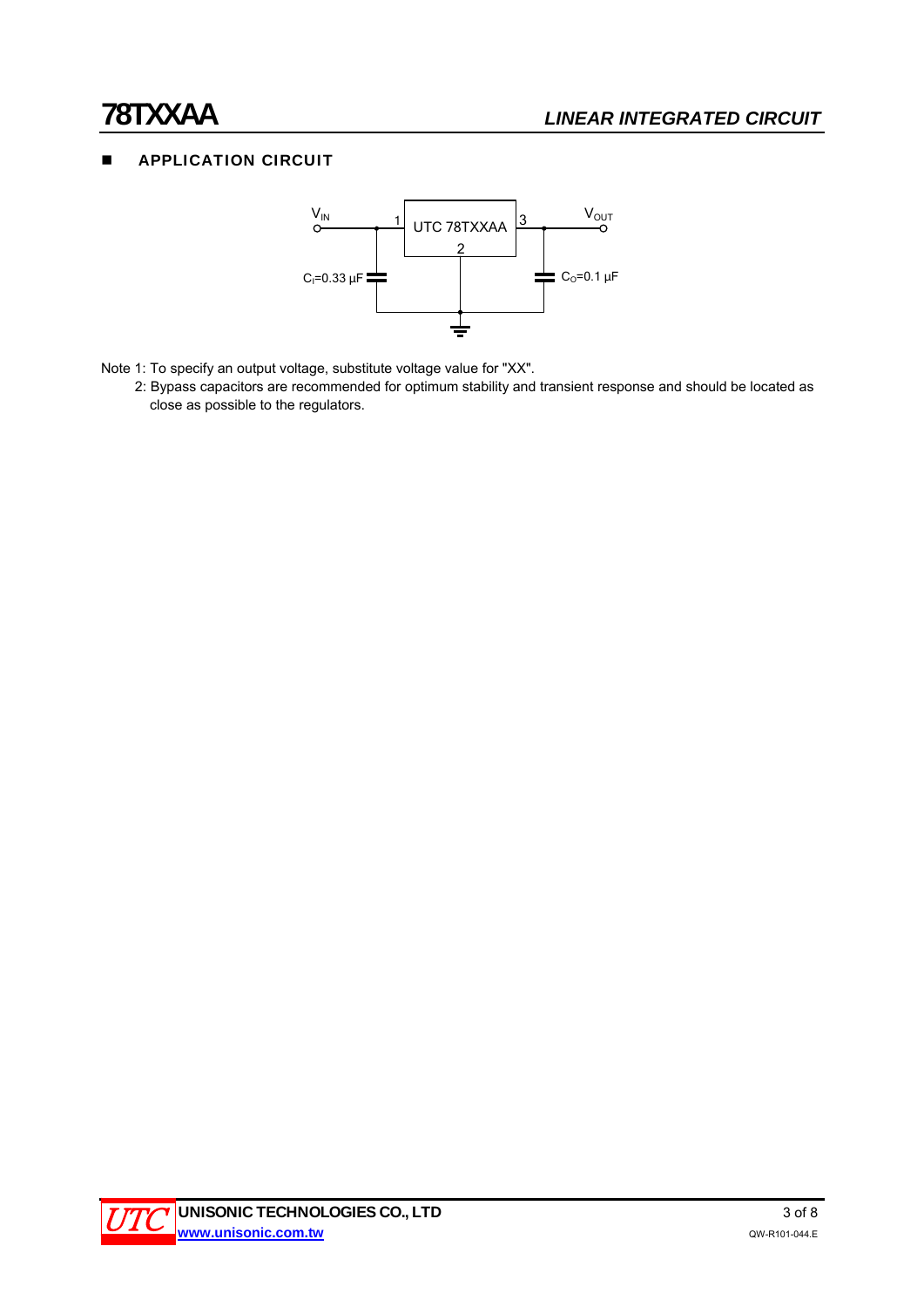# **APPLICATION CIRCUIT**



- Note 1: To specify an output voltage, substitute voltage value for "XX".
	- 2: Bypass capacitors are recommended for optimum stability and transient response and should be located as close as possible to the regulators.

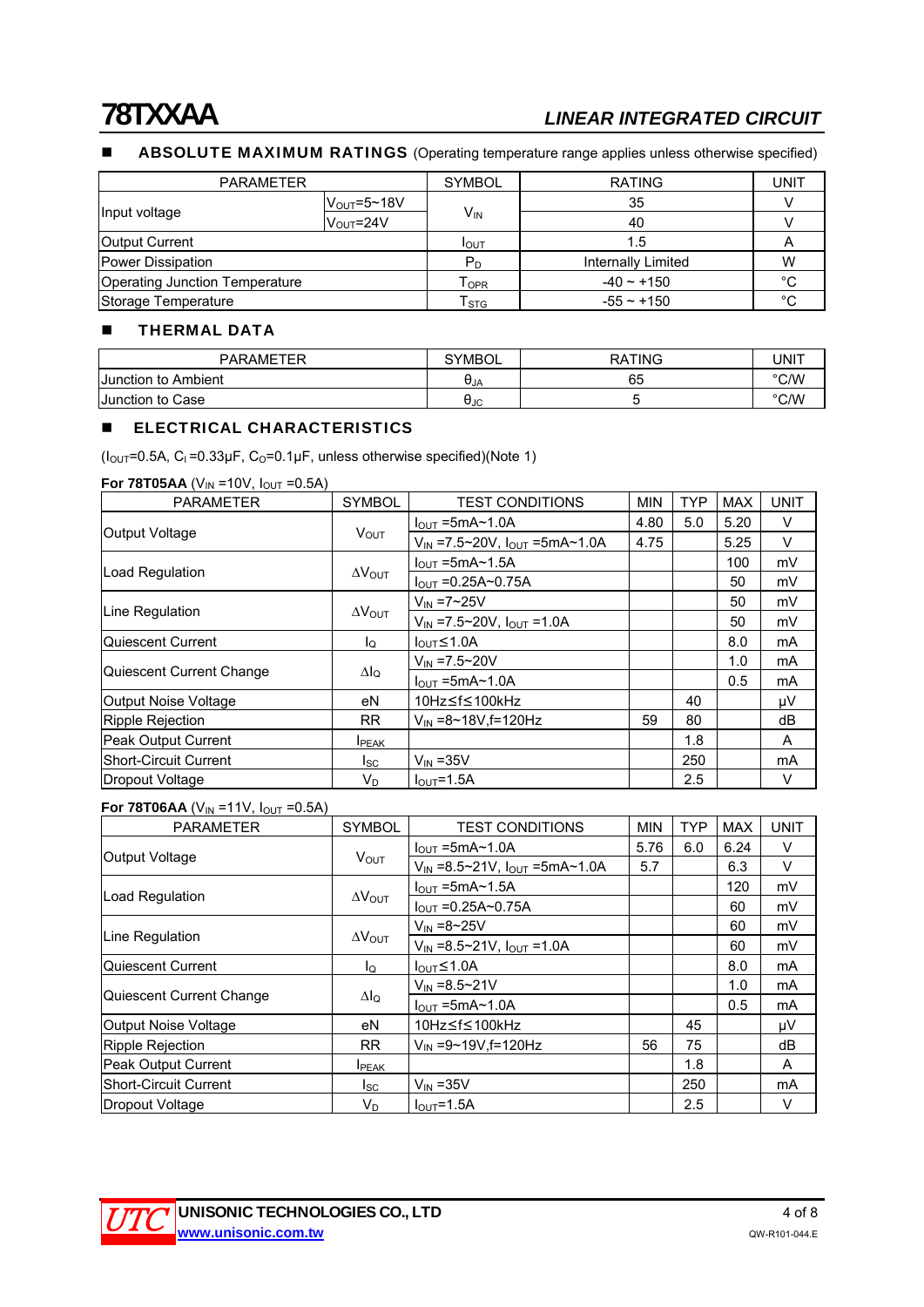# **78TXXAA** *LINEAR INTEGRATED CIRCUIT*

# ABSOLUTE MAXIMUM RATINGS (Operating temperature range applies unless otherwise specified)

| <b>PARAMETER</b>               |                               | <b>SYMBOL</b>               | <b>RATING</b>      | <b>UNIT</b> |
|--------------------------------|-------------------------------|-----------------------------|--------------------|-------------|
|                                | $V_{\text{OUT}} = 5 \sim 18V$ |                             | 35                 |             |
| Input voltage                  | $V_{\text{OUT}} = 24V$        | V <sub>IN</sub>             | 40                 |             |
| <b>Output Current</b>          |                               | I <sub>OUT</sub>            | 1.5                |             |
| Power Dissipation              |                               | $P_D$                       | Internally Limited | W           |
| Operating Junction Temperature |                               | $\mathsf{T}_{\mathsf{OPR}}$ | $-40 \sim +150$    | °C          |
| Storage Temperature            |                               | $\mathsf{T}_{\textsf{STG}}$ | $-55 \sim +150$    | °C          |

#### **THERMAL DATA**

| <b>PARAMETER</b>    | <b>SYMBOL</b> | <b>RATING</b> | UNIT |
|---------------------|---------------|---------------|------|
| Junction to Ambient | UJA           | 65            | °C/W |
| Junction to Case    | σιс           |               | °C/W |

### **ELECTRICAL CHARACTERISTICS**

( $I_{\text{OUT}}$ =0.5A, C<sub>I</sub> =0.33 $\mu$ F, C<sub>O</sub>=0.1 $\mu$ F, unless otherwise specified)(Note 1)

#### **For 78T05AA** ( $V_{IN}$  =10V,  $I_{OUT}$  =0.5A)

| <b>PARAMETER</b>         | <b>SYMBOL</b>           | <b>TEST CONDITIONS</b>                       | <b>MIN</b> | <b>TYP</b> | <b>MAX</b> | <b>UNIT</b>    |
|--------------------------|-------------------------|----------------------------------------------|------------|------------|------------|----------------|
|                          |                         | $I_{\text{OUT}}$ =5mA $\sim$ 1.0A            | 4.80       | 5.0        | 5.20       | V              |
| Output Voltage           | $V_{\text{OUT}}$        | $V_{IN}$ =7.5~20V, $I_{OUT}$ =5mA~1.0A       | 4.75       |            | 5.25       | V              |
|                          |                         | $I_{OUT}$ =5mA~1.5A                          |            |            | 100        | mV             |
| <b>Load Regulation</b>   | $\Delta V_{\text{OUT}}$ | $I_{\text{OUT}} = 0.25A \sim 0.75A$          |            |            | 50         | mV             |
|                          |                         | $V_{IN} = 7 \sim 25V$                        |            |            | 50         | mV             |
| Line Regulation          | $\Delta V_{\text{OUT}}$ | $V_{IN} = 7.5 \times 20V$ , $I_{OUT} = 1.0A$ |            |            | 50         | mV             |
| lQuiescent Current       | lo.                     | $I_{\text{OUT}}$ $\leq$ 1.0A                 |            |            | 8.0        | m <sub>A</sub> |
|                          | $\Delta I_Q$            | $V_{IN} = 7.5 \times 20V$                    |            |            | 1.0        | mA             |
| Quiescent Current Change |                         | $I_{OUT}$ =5mA~1.0A                          |            |            | 0.5        | m <sub>A</sub> |
| Output Noise Voltage     | eN                      | 10Hz≤f≤100kHz                                |            | 40         |            | μV             |
| Ripple Rejection         | <b>RR</b>               | $V_{IN} = 8 \sim 18V$ , f = 120Hz            | 59         | 80         |            | dB             |
| Peak Output Current      | <b>I</b> PEAK           |                                              |            | 1.8        |            | A              |
| lShort-Circuit Current   | Isc                     | $V_{IN}$ = 35V                               |            | 250        |            | mA             |
| Dropout Voltage          | V <sub>D</sub>          | $I_{\text{OUT}}=1.5A$                        |            | 2.5        |            | V              |

## **For 78T06AA** ( $V_{IN}$  =11V,  $I_{OUT}$  =0.5A)

| <b>PARAMETER</b>             | <b>SYMBOL</b>           | <b>TEST CONDITIONS</b>                                  | <b>MIN</b> | <b>TYP</b> | <b>MAX</b> | <b>UNIT</b>    |
|------------------------------|-------------------------|---------------------------------------------------------|------------|------------|------------|----------------|
|                              | $V_{\text{OUT}}$        | $I_{\text{OUT}}$ =5mA~1.0A                              | 5.76       | 6.0        | 6.24       | V              |
| <b>Output Voltage</b>        |                         | $V_{IN} = 8.5 \times 21V$ , $I_{OUT} = 5mA \times 1.0A$ | 5.7        |            | 6.3        | V              |
| Load Regulation              |                         | $I_{OUT}$ =5mA~1.5A                                     |            |            | 120        | mV             |
|                              | $\Delta V_{\text{OUT}}$ | $I_{OUT} = 0.25A \sim 0.75A$                            |            |            | 60         | mV             |
| Line Regulation              |                         | $V_{IN} = 8 - 25V$                                      |            |            | 60         | mV             |
|                              | $\Delta V_{\text{OUT}}$ | $V_{IN} = 8.5 \sim 21V$ , $I_{OUT} = 1.0A$              |            |            | 60         | mV             |
| lQuiescent Current           | Ιo                      | $I_{\text{OUT}}$ $\leq$ 1.0A                            |            |            | 8.0        | m <sub>A</sub> |
|                              |                         | $V_{IN} = 8.5 - 21V$                                    |            |            | 1.0        | m <sub>A</sub> |
| Quiescent Current Change     | $\Delta I_Q$            | $I_{\text{OUT}}$ =5mA $\sim$ 1.0A                       |            |            | 0.5        | mA             |
| Output Noise Voltage         | eN                      | 10Hz≤f≤100kHz                                           |            | 45         |            | μV             |
| Ripple Rejection             | <b>RR</b>               | $V_{IN} = 9 - 19V$ . f = 120Hz                          | 56         | 75         |            | dB             |
| Peak Output Current          | <b>I</b> PEAK           |                                                         |            | 1.8        |            | A              |
| <b>Short-Circuit Current</b> | lsc.                    | $V_{IN}$ = 35 $V$                                       |            | 250        |            | mA             |
| Dropout Voltage              | $V_D$                   | $I_{\text{OUT}}=1.5A$                                   |            | 2.5        |            | V              |

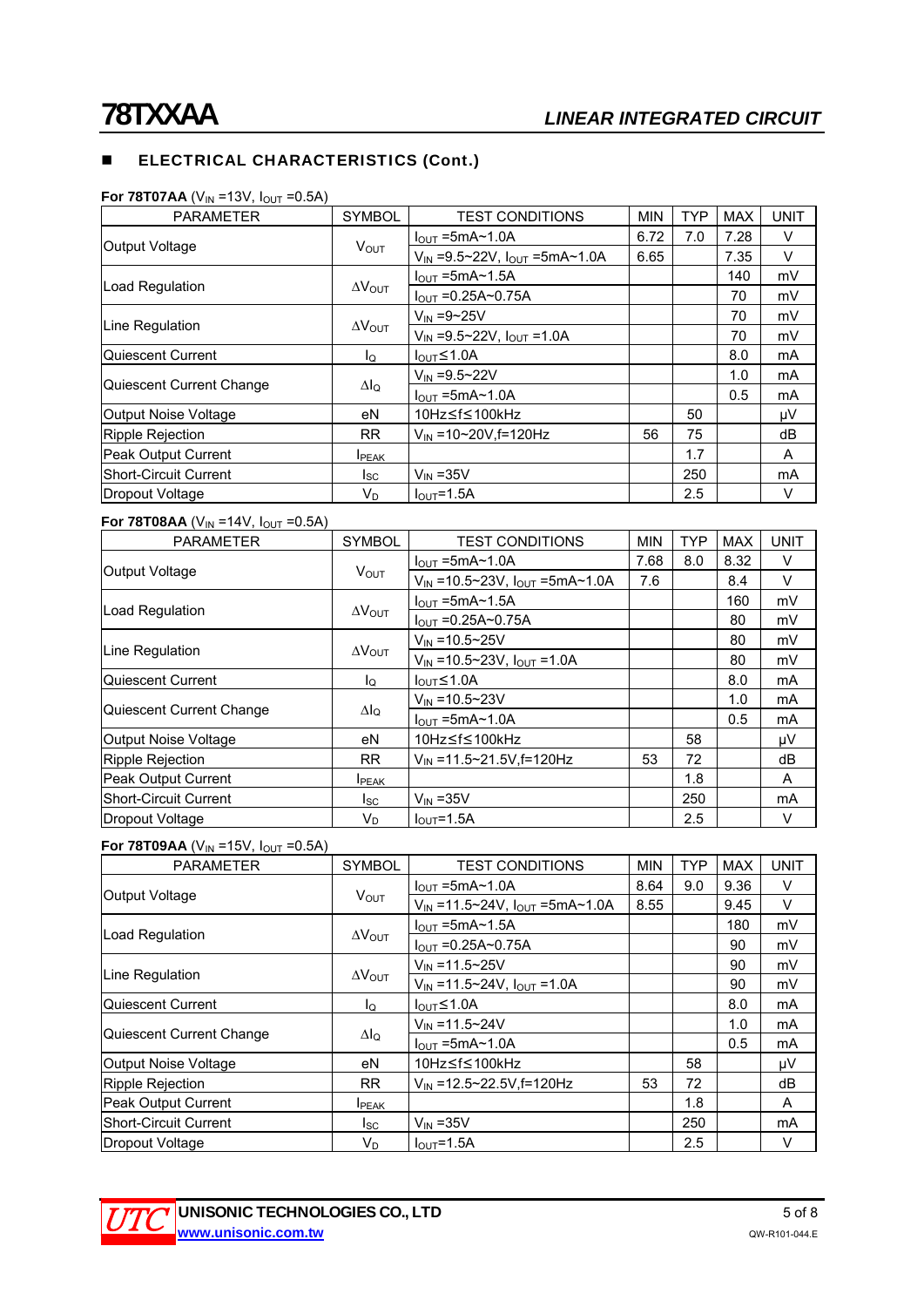## **ELECTRICAL CHARACTERISTICS (Cont.)**

| <b>PARAMETER</b>         | <b>SYMBOL</b>           | <b>TEST CONDITIONS</b>                                  | <b>MIN</b> | <b>TYP</b> | <b>MAX</b> | <b>UNIT</b> |
|--------------------------|-------------------------|---------------------------------------------------------|------------|------------|------------|-------------|
|                          |                         | $I_{\text{OUT}}$ =5mA~1.0A                              | 6.72       | 7.0        | 7.28       | V           |
| Output Voltage           | <b>VOUT</b>             | $V_{IN} = 9.5 \times 22V$ , $I_{OUT} = 5mA \times 1.0A$ | 6.65       |            | 7.35       | V           |
|                          |                         | $I_{\text{OUT}}$ =5mA~1.5A                              |            |            | 140        | mV          |
| Load Regulation          | $\Delta V_{\text{OUT}}$ | $I_{OUT} = 0.25A \sim 0.75A$                            |            |            | 70         | mV          |
| Line Regulation          |                         | $V_{IN} = 9 \sim 25V$                                   |            |            | 70         | mV          |
|                          | $\Delta V_{\text{OUT}}$ | $V_{IN} = 9.5 \sim 22V$ , $I_{OUT} = 1.0A$              |            |            | 70         | mV          |
| Quiescent Current        | lo                      | $I_{\text{OUT}} \leq 1.0$ A                             |            |            | 8.0        | mA          |
|                          |                         | $V_{IN} = 9.5 - 22V$                                    |            |            | 1.0        | mA          |
| Quiescent Current Change | $\Delta I_Q$            | $IQUT = 5mA21.0A$                                       |            |            | 0.5        | mA          |
| Output Noise Voltage     | eN                      | 10Hz≤f≤100kHz                                           |            | 50         |            | μV          |
| Ripple Rejection         | RR.                     | $V_{IN}$ =10~20V.f=120Hz                                | 56         | 75         |            | dB          |
| Peak Output Current      | <b>I</b> PEAK           |                                                         |            | 1.7        |            | A           |
| Short-Circuit Current    | lsc.                    | $V_{IN}$ = 35 $V$                                       |            | 250        |            | mA          |
| Dropout Voltage          | V <sub>D</sub>          | $IOUT=1.5A$                                             |            | 2.5        |            | V           |

### **For 78T07AA** ( $V_{IN}$  =13V,  $I_{OUT}$  =0.5A)

### **For 78T08AA** ( $V_{IN}$  =14V,  $I_{OUT}$  =0.5A)

| <b>PARAMETER</b>             | <b>SYMBOL</b>           | <b>TEST CONDITIONS</b>                  | <b>MIN</b> | <b>TYP</b> | <b>MAX</b> | <b>UNIT</b>    |
|------------------------------|-------------------------|-----------------------------------------|------------|------------|------------|----------------|
| <b>Output Voltage</b>        | $V_{\text{OUT}}$        | $IOUT = 5mA~1.0A$                       | 7.68       | 8.0        | 8.32       | V              |
|                              |                         | $V_{IN}$ =10.5~23V, $I_{OUT}$ =5mA~1.0A | 7.6        |            | 8.4        | V              |
| Load Regulation              |                         | $I_{\text{OUT}}$ =5mA~1.5A              |            |            | 160        | mV             |
|                              | $\Delta V_{\text{OUT}}$ | $I_{OUT} = 0.25A \sim 0.75A$            |            |            | 80         | mV             |
|                              |                         | $V_{IN} = 10.5 \times 25V$              |            |            | 80         | mV             |
| Line Regulation              | $\Delta V_{\text{OUT}}$ | $V_{IN}$ =10.5~23V, $I_{OUT}$ =1.0A     |            |            | 80         | mV             |
| Quiescent Current            | lo.                     | $I_{\text{OUT}}$ $\leq$ 1.0A            |            |            | 8.0        | m <sub>A</sub> |
|                              |                         | $V_{IN} = 10.5 \times 23V$              |            |            | 1.0        | m <sub>A</sub> |
| Quiescent Current Change     | $\Delta I_Q$            | $IOUT = 5mA~1.0A$                       |            |            | 0.5        | mA             |
| Output Noise Voltage         | eN                      | 10Hz≤f≤100kHz                           |            | 58         |            | μV             |
| Ripple Rejection             | <b>RR</b>               | $V_{\text{IN}}$ = 11.5~21.5V, f=120Hz   | 53         | 72         |            | dB             |
| Peak Output Current          | <b>I</b> PEAK           |                                         |            | 1.8        |            | A              |
| <b>Short-Circuit Current</b> | Isc                     | $V_{IN}$ = 35V                          |            | 250        |            | mA             |
| Dropout Voltage              | V <sub>D</sub>          | $I_{OUT} = 1.5A$                        |            | 2.5        |            | V              |

#### **For 78T09AA** ( $V_{IN}$  =15V,  $I_{OUT}$  =0.5A)

| <b>PARAMETER</b>         | <b>SYMBOL</b>           | <b>TEST CONDITIONS</b>                                   | <b>MIN</b> | <b>TYP</b> | <b>MAX</b> | <b>UNIT</b> |
|--------------------------|-------------------------|----------------------------------------------------------|------------|------------|------------|-------------|
| Output Voltage           | $V_{\text{OUT}}$        | $I_{\text{OUT}}$ =5mA $\sim$ 1.0A                        | 8.64       | 9.0        | 9.36       | V           |
|                          |                         | $V_{IN} = 11.5 \times 24V$ , $I_{OUT} = 5mA \times 1.0A$ | 8.55       |            | 9.45       | V           |
| Load Regulation          |                         | $I_{\text{OUT}}$ =5mA $\sim$ 1.5A                        |            |            | 180        | mV          |
|                          | $\Delta V_{\text{OUT}}$ | $I_{\text{OUT}} = 0.25A \sim 0.75A$                      |            |            | 90         | mV          |
|                          |                         | $V_{IN} = 11.5 \times 25V$                               |            |            | 90         | mV          |
| Line Regulation          | $\Delta V_{\text{OUT}}$ | $V_{IN} = 11.5 \times 24V$ , $I_{OUT} = 1.0A$            |            |            | 90         | mV          |
| Quiescent Current        | lo                      | $I_{\text{OUT}} \leq 1.0$ A                              |            |            | 8.0        | mA          |
|                          |                         | $V_{IN} = 11.5 \times 24V$                               |            |            | 1.0        | mA          |
| Quiescent Current Change | $\Delta I_Q$            | $I_{\text{OUT}}$ =5mA $\sim$ 1.0A                        |            |            | 0.5        | mA          |
| Output Noise Voltage     | eN                      | 10Hz≤f≤100kHz                                            |            | 58         |            | μV          |
| Ripple Rejection         | <b>RR</b>               | $V_{IN}$ =12.5~22.5V.f=120Hz                             | 53         | 72         |            | dB          |
| Peak Output Current      | <b>I</b> PEAK           |                                                          |            | 1.8        |            | A           |
| Short-Circuit Current    | Isc                     | $V_{IN}$ = 35V                                           |            | 250        |            | <b>mA</b>   |
| Dropout Voltage          | VD                      | $I_{\text{OUT}} = 1.5A$                                  |            | 2.5        |            | V           |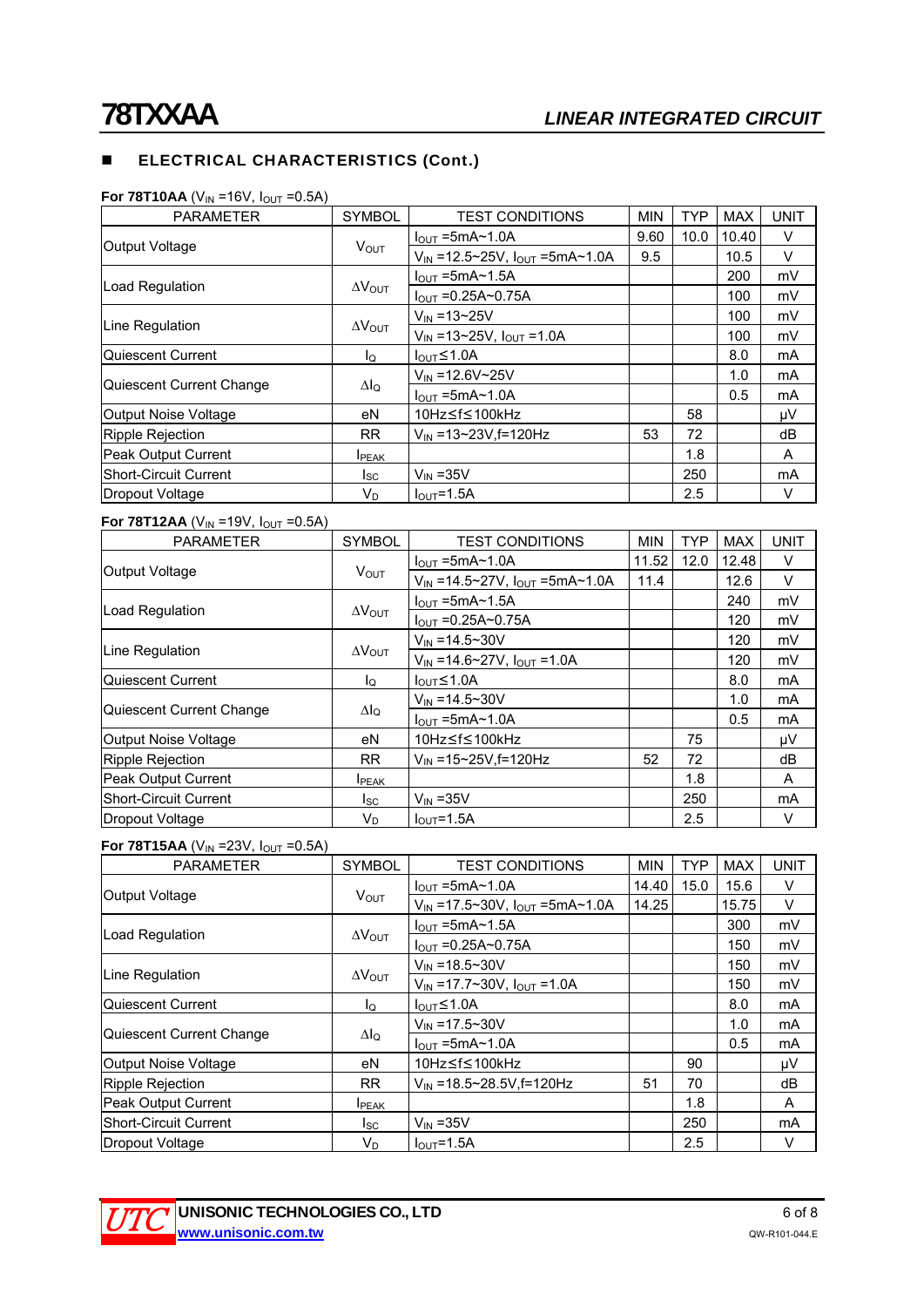# **ELECTRICAL CHARACTERISTICS (Cont.)**

| <b>PARAMETER</b>             | <b>SYMBOL</b>           | <b>TEST CONDITIONS</b>                  | <b>MIN</b> | <b>TYP</b> | <b>MAX</b> | <b>UNIT</b> |
|------------------------------|-------------------------|-----------------------------------------|------------|------------|------------|-------------|
|                              | $V_{\text{OUT}}$        | $I_{\text{OUT}}$ =5mA $\sim$ 1.0A       | 9.60       | 10.0       | 10.40      | V           |
| Output Voltage               |                         | $V_{IN}$ =12.5~25V, $I_{OUT}$ =5mA~1.0A | 9.5        |            | 10.5       | $\vee$      |
| Load Regulation              |                         | $IOUT = 5mA~1.5A$                       |            |            | 200        | mV          |
|                              | $\Delta V_{\text{OUT}}$ | $I_{\text{OUT}} = 0.25A \sim 0.75A$     |            |            | 100        | mV          |
|                              |                         | $V_{IN} = 13 - 25V$                     |            |            | 100        | mV          |
| Line Regulation              | $\Delta V_{\text{OUT}}$ | $V_{IN}$ =13~25V, $I_{OUT}$ =1.0A       |            |            | 100        | mV          |
| Quiescent Current            | lo                      | $I_{\text{OUT}} \leq 1.0$ A             |            |            | 8.0        | mA          |
|                              |                         | $V_{IN} = 12.6 V - 25 V$                |            |            | 1.0        | mA          |
| Quiescent Current Change     | $\Delta I_Q$            | $I_{\text{OUT}}$ =5mA $\sim$ 1.0A       |            |            | 0.5        | mA          |
| Output Noise Voltage         | еN                      | 10Hz≤f≤100kHz                           |            | 58         |            | μV          |
| Ripple Rejection             | <b>RR</b>               | $V_{IN}$ =13~23V, f=120Hz               | 53         | 72         |            | dB          |
| Peak Output Current          | <b>IPEAK</b>            |                                         |            | 1.8        |            | A           |
| <b>Short-Circuit Current</b> | lsc.                    | $V_{IN}$ = 35 $V$                       |            | 250        |            | mA          |
| Dropout Voltage              | VD                      | $IOUT=1.5A$                             |            | 2.5        |            | v           |

#### **For 78T10AA** ( $V_{IN}$  =16V,  $I_{OUT}$  =0.5A)

#### **For 78T12AA** ( $V_{IN}$  =19V,  $I_{OUT}$  =0.5A)

| <b>PARAMETER</b>           | <b>SYMBOL</b>           | <b>TEST CONDITIONS</b>                        | <b>MIN</b> | <b>TYP</b> | <b>MAX</b> | <b>UNIT</b> |
|----------------------------|-------------------------|-----------------------------------------------|------------|------------|------------|-------------|
|                            | $V_{\text{OUT}}$        | $I_{\text{OUT}}$ =5mA $\sim$ 1.0A             | 11.52      | 12.0       | 12.48      | V           |
| <b>Output Voltage</b>      |                         | $V_{IN}$ =14.5~27V, $I_{OUT}$ =5mA~1.0A       | 11.4       |            | 12.6       | V           |
|                            |                         | $I_{OUT}$ =5mA~1.5A                           |            |            | 240        | mV          |
| Load Regulation            | $\Delta V_{\text{OUT}}$ | $I_{OUT} = 0.25A \sim 0.75A$                  |            |            | 120        | mV          |
|                            |                         | $V_{IN} = 14.5 \times 30V$                    |            |            | 120        | mV          |
| Line Regulation            | $\Delta V_{\text{OUT}}$ | $V_{IN} = 14.6 \times 27V$ , $I_{OUT} = 1.0A$ |            |            | 120        | mV          |
| Quiescent Current          | ΙQ                      | $I_{\text{OUT}}$ $\leq$ 1.0A                  |            |            | 8.0        | mA          |
|                            |                         | $V_{IN} = 14.5 \times 30V$                    |            |            | 1.0        | mA          |
| Quiescent Current Change   | $\Delta I_Q$            | $I_{OUT}$ =5mA~1.0A                           |            |            | 0.5        | mA          |
| Output Noise Voltage       | eN                      | 10Hz≤f≤100kHz                                 |            | 75         |            | μV          |
| <b>Ripple Rejection</b>    | <b>RR</b>               | $V_{IN}$ =15~25V, f=120Hz                     | 52         | 72         |            | dB          |
| <b>Peak Output Current</b> | <b>I</b> PEAK           |                                               |            | 1.8        |            | A           |
| Short-Circuit Current      | $I_{SC}$                | $V_{IN}$ = 35 $V$                             |            | 250        |            | mA          |
| Dropout Voltage            | $\mathsf{V}_\mathsf{D}$ | $I_{OUT} = 1.5A$                              |            | 2.5        |            | V           |

#### **For 78T15AA** ( $V_{IN}$  =23V,  $I_{OUT}$  =0.5A)

| <b>PARAMETER</b>             | <b>SYMBOL</b>           | <b>TEST CONDITIONS</b>                        | <b>MIN</b> | <b>TYP</b> | <b>MAX</b> | <b>UNIT</b> |
|------------------------------|-------------------------|-----------------------------------------------|------------|------------|------------|-------------|
| Output Voltage               | <b>VOUT</b>             | $I_{\text{OUT}}$ =5mA $\sim$ 1.0A             | 14.40      | 15.0       | 15.6       | V           |
|                              |                         | $V_{IN}$ =17.5~30V, $I_{OUT}$ =5mA~1.0A       | 14.25      |            | 15.75      | V           |
| Load Regulation              | $\Delta V_{\text{OUT}}$ | $I_{\text{OUT}}$ =5mA $\sim$ 1.5A             |            |            | 300        | mV          |
|                              |                         | $I_{\text{OUT}} = 0.25A \sim 0.75A$           |            |            | 150        | mV          |
| Line Regulation              | $\Delta V_{\text{OUT}}$ | $V_{IN} = 18.5 \times 30V$                    |            |            | 150        | mV          |
|                              |                         | $V_{IN} = 17.7 \times 30V$ , $I_{OUT} = 1.0A$ |            |            | 150        | mV          |
| Quiescent Current            | lo                      | $I_{\text{OUT}} \leq 1.0$ A                   |            |            | 8.0        | mA          |
| Quiescent Current Change     | Δlo                     | $V_{IN} = 17.5 \times 30V$                    |            |            | 1.0        | mA          |
|                              |                         | $I_{\text{OUT}}$ =5mA $\sim$ 1.0A             |            |            | 0.5        | mA          |
| <b>Output Noise Voltage</b>  | еN                      | 10Hz≤f≤100kHz                                 |            | 90         |            | μV          |
| <b>Ripple Rejection</b>      | <b>RR</b>               | $V_{\text{IN}}$ = 18.5~28.5V, f=120Hz         | 51         | 70         |            | dB          |
| Peak Output Current          | <b>I</b> PEAK           |                                               |            | 1.8        |            | A           |
| <b>Short-Circuit Current</b> | lsc.                    | $V_{IN}$ = 35 $V$                             |            | 250        |            | mA          |
| Dropout Voltage              | VD                      | $I_{\text{OUT}} = 1.5A$                       |            | 2.5        |            | V           |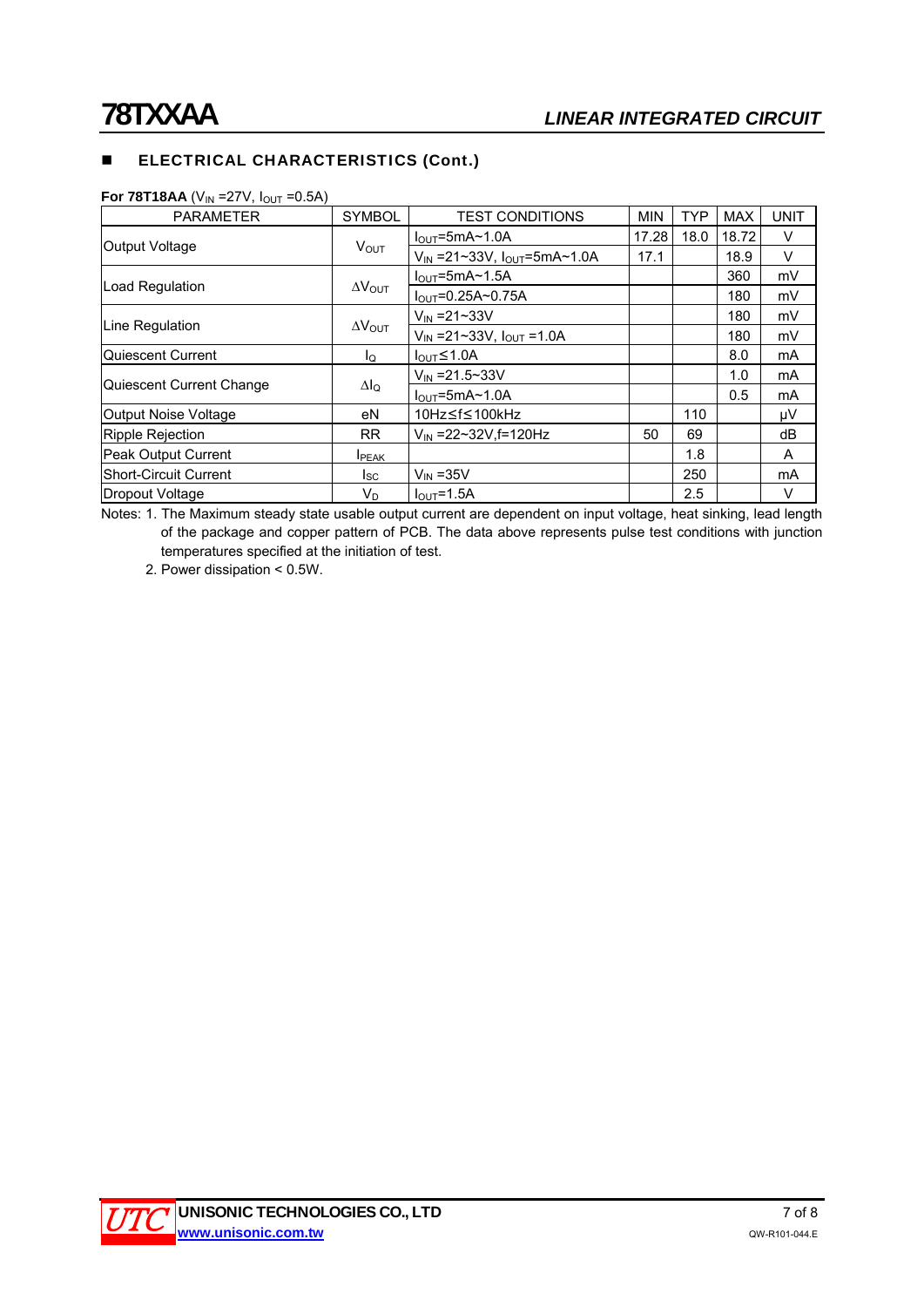# **ELECTRICAL CHARACTERISTICS (Cont.)**

| <b>PARAMETER</b>         | <b>SYMBOL</b>           | <b>TEST CONDITIONS</b>                 | <b>MIN</b> | <b>TYP</b> | <b>MAX</b> | <b>UNIT</b> |
|--------------------------|-------------------------|----------------------------------------|------------|------------|------------|-------------|
| Output Voltage           | $V_{\text{OUT}}$        | $IOUT=5mA~1.0A$                        | 17.28      | 18.0       | 18.72      | V           |
|                          |                         | $V_{IN}$ =21~33V, $I_{OUT}$ =5mA~1.0A  | 17.1       |            | 18.9       | $\vee$      |
| Load Regulation          | $\Delta V_{\text{OUT}}$ | $IOUT=5mA~1.5A$                        |            |            | 360        | mV          |
|                          |                         | $I_{\text{OUT}} = 0.25A \sim 0.75A$    |            |            | 180        | mV          |
| Line Regulation          |                         | $V_{IN} = 21 - 33V$                    |            |            | 180        | mV          |
|                          | $\Delta V_{\text{OUT}}$ | $V_{IN} = 21 - 33V$ , $I_{OUT} = 1.0A$ |            |            | 180        | mV          |
| Quiescent Current        | lo                      | $I_{\text{OUT}} \leq 1.0$ A            |            |            | 8.0        | mA          |
| Quiescent Current Change |                         | $V_{IN} = 21.5 \times 33V$             |            |            | 1.0        | mA          |
|                          | $\Delta I_Q$            | $IOUT=5mA~1.0A$                        |            |            | 0.5        | mA          |
| Output Noise Voltage     | eN                      | 10Hz≤f≤100kHz                          |            | 110        |            | μV          |
| Ripple Rejection         | <b>RR</b>               | $V_{IN}$ = 22~32V.f = 120Hz            | 50         | 69         |            | dB          |
| Peak Output Current      | <b>I</b> PEAK           |                                        |            | 1.8        |            | A           |
| Short-Circuit Current    | Isc                     | $V_{IN}$ = 35 $V$                      |            | 250        |            | mA          |
| Dropout Voltage          | VD                      | $IOUT=1.5A$                            |            | 2.5        |            | V           |

**For 78T18AA** ( $V_{IN}$  =27V,  $I_{OUT}$  =0.5A)

Notes: 1. The Maximum steady state usable output current are dependent on input voltage, heat sinking, lead length of the package and copper pattern of PCB. The data above represents pulse test conditions with junction temperatures specified at the initiation of test.

2. Power dissipation < 0.5W.